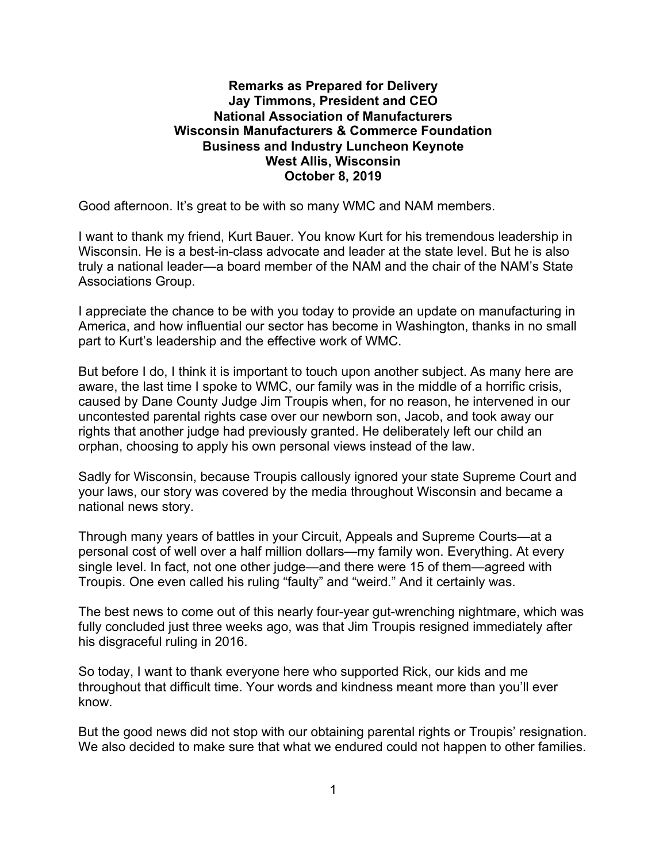## **Remarks as Prepared for Delivery Jay Timmons, President and CEO National Association of Manufacturers Wisconsin Manufacturers & Commerce Foundation Business and Industry Luncheon Keynote West Allis, Wisconsin October 8, 2019**

Good afternoon. It's great to be with so many WMC and NAM members.

I want to thank my friend, Kurt Bauer. You know Kurt for his tremendous leadership in Wisconsin. He is a best-in-class advocate and leader at the state level. But he is also truly a national leader—a board member of the NAM and the chair of the NAM's State Associations Group.

I appreciate the chance to be with you today to provide an update on manufacturing in America, and how influential our sector has become in Washington, thanks in no small part to Kurt's leadership and the effective work of WMC.

But before I do, I think it is important to touch upon another subject. As many here are aware, the last time I spoke to WMC, our family was in the middle of a horrific crisis, caused by Dane County Judge Jim Troupis when, for no reason, he intervened in our uncontested parental rights case over our newborn son, Jacob, and took away our rights that another judge had previously granted. He deliberately left our child an orphan, choosing to apply his own personal views instead of the law.

Sadly for Wisconsin, because Troupis callously ignored your state Supreme Court and your laws, our story was covered by the media throughout Wisconsin and became a national news story.

Through many years of battles in your Circuit, Appeals and Supreme Courts—at a personal cost of well over a half million dollars—my family won. Everything. At every single level. In fact, not one other judge—and there were 15 of them—agreed with Troupis. One even called his ruling "faulty" and "weird." And it certainly was.

The best news to come out of this nearly four-year gut-wrenching nightmare, which was fully concluded just three weeks ago, was that Jim Troupis resigned immediately after his disgraceful ruling in 2016.

So today, I want to thank everyone here who supported Rick, our kids and me throughout that difficult time. Your words and kindness meant more than you'll ever know.

But the good news did not stop with our obtaining parental rights or Troupis' resignation. We also decided to make sure that what we endured could not happen to other families.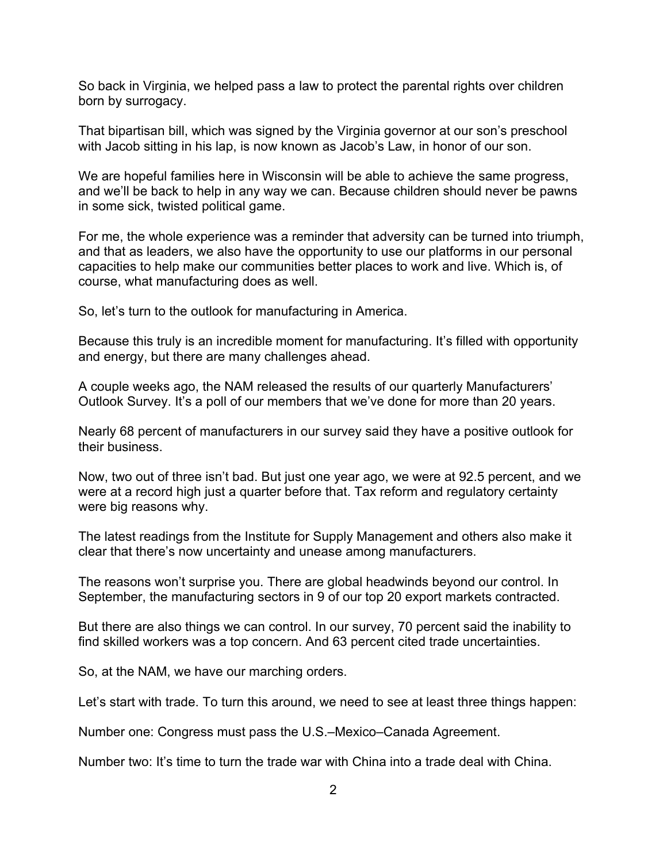So back in Virginia, we helped pass a law to protect the parental rights over children born by surrogacy.

That bipartisan bill, which was signed by the Virginia governor at our son's preschool with Jacob sitting in his lap, is now known as Jacob's Law, in honor of our son.

We are hopeful families here in Wisconsin will be able to achieve the same progress, and we'll be back to help in any way we can. Because children should never be pawns in some sick, twisted political game.

For me, the whole experience was a reminder that adversity can be turned into triumph, and that as leaders, we also have the opportunity to use our platforms in our personal capacities to help make our communities better places to work and live. Which is, of course, what manufacturing does as well.

So, let's turn to the outlook for manufacturing in America.

Because this truly is an incredible moment for manufacturing. It's filled with opportunity and energy, but there are many challenges ahead.

A couple weeks ago, the NAM released the results of our quarterly Manufacturers' Outlook Survey. It's a poll of our members that we've done for more than 20 years.

Nearly 68 percent of manufacturers in our survey said they have a positive outlook for their business.

Now, two out of three isn't bad. But just one year ago, we were at 92.5 percent, and we were at a record high just a quarter before that. Tax reform and regulatory certainty were big reasons why.

The latest readings from the Institute for Supply Management and others also make it clear that there's now uncertainty and unease among manufacturers.

The reasons won't surprise you. There are global headwinds beyond our control. In September, the manufacturing sectors in 9 of our top 20 export markets contracted.

But there are also things we can control. In our survey, 70 percent said the inability to find skilled workers was a top concern. And 63 percent cited trade uncertainties.

So, at the NAM, we have our marching orders.

Let's start with trade. To turn this around, we need to see at least three things happen:

Number one: Congress must pass the U.S.–Mexico–Canada Agreement.

Number two: It's time to turn the trade war with China into a trade deal with China.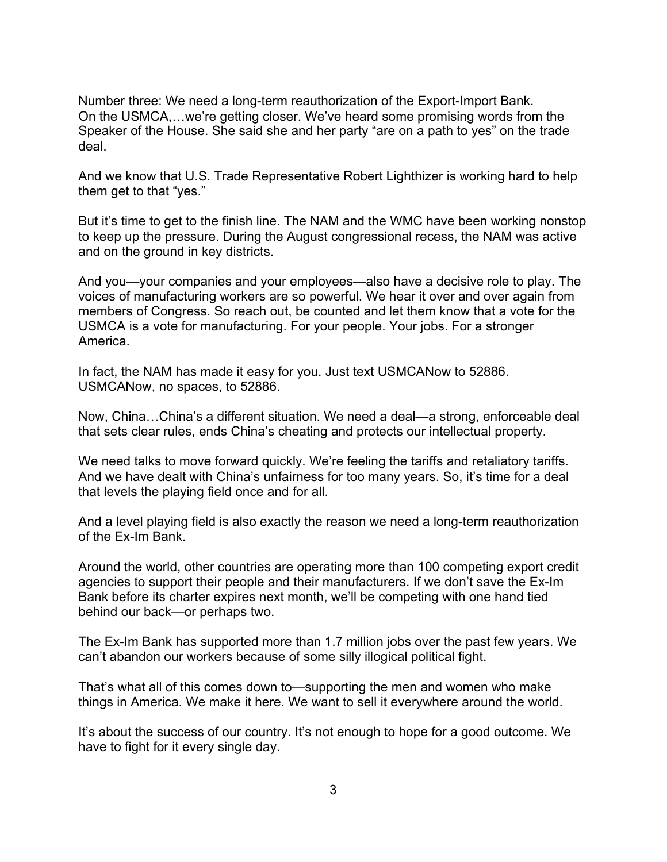Number three: We need a long-term reauthorization of the Export-Import Bank. On the USMCA,…we're getting closer. We've heard some promising words from the Speaker of the House. She said she and her party "are on a path to yes" on the trade deal.

And we know that U.S. Trade Representative Robert Lighthizer is working hard to help them get to that "yes."

But it's time to get to the finish line. The NAM and the WMC have been working nonstop to keep up the pressure. During the August congressional recess, the NAM was active and on the ground in key districts.

And you—your companies and your employees—also have a decisive role to play. The voices of manufacturing workers are so powerful. We hear it over and over again from members of Congress. So reach out, be counted and let them know that a vote for the USMCA is a vote for manufacturing. For your people. Your jobs. For a stronger America.

In fact, the NAM has made it easy for you. Just text USMCANow to 52886. USMCANow, no spaces, to 52886.

Now, China…China's a different situation. We need a deal—a strong, enforceable deal that sets clear rules, ends China's cheating and protects our intellectual property.

We need talks to move forward quickly. We're feeling the tariffs and retaliatory tariffs. And we have dealt with China's unfairness for too many years. So, it's time for a deal that levels the playing field once and for all.

And a level playing field is also exactly the reason we need a long-term reauthorization of the Ex-Im Bank.

Around the world, other countries are operating more than 100 competing export credit agencies to support their people and their manufacturers. If we don't save the Ex-Im Bank before its charter expires next month, we'll be competing with one hand tied behind our back—or perhaps two.

The Ex-Im Bank has supported more than 1.7 million jobs over the past few years. We can't abandon our workers because of some silly illogical political fight.

That's what all of this comes down to—supporting the men and women who make things in America. We make it here. We want to sell it everywhere around the world.

It's about the success of our country. It's not enough to hope for a good outcome. We have to fight for it every single day.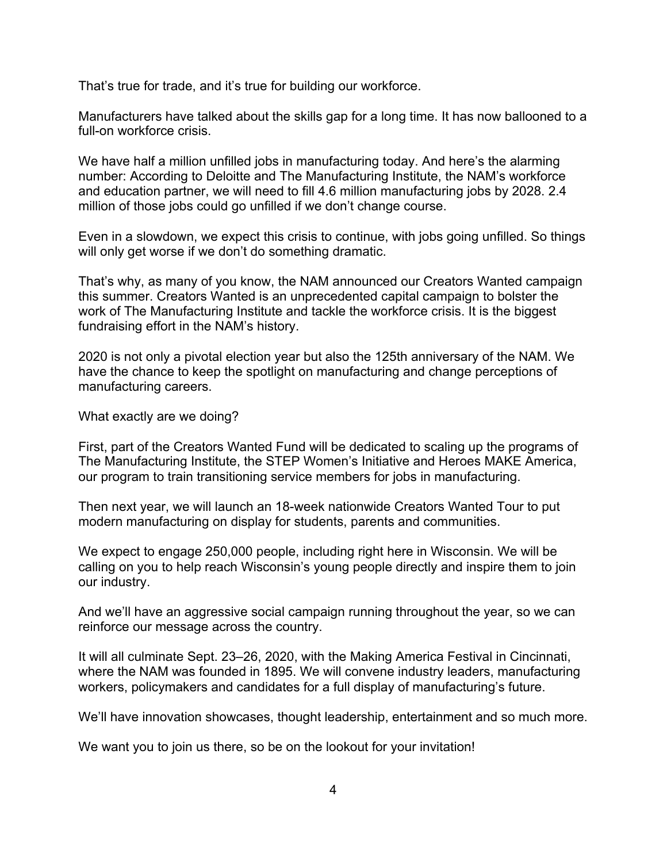That's true for trade, and it's true for building our workforce.

Manufacturers have talked about the skills gap for a long time. It has now ballooned to a full-on workforce crisis.

We have half a million unfilled jobs in manufacturing today. And here's the alarming number: According to Deloitte and The Manufacturing Institute, the NAM's workforce and education partner, we will need to fill 4.6 million manufacturing jobs by 2028. 2.4 million of those jobs could go unfilled if we don't change course.

Even in a slowdown, we expect this crisis to continue, with jobs going unfilled. So things will only get worse if we don't do something dramatic.

That's why, as many of you know, the NAM announced our Creators Wanted campaign this summer. Creators Wanted is an unprecedented capital campaign to bolster the work of The Manufacturing Institute and tackle the workforce crisis. It is the biggest fundraising effort in the NAM's history.

2020 is not only a pivotal election year but also the 125th anniversary of the NAM. We have the chance to keep the spotlight on manufacturing and change perceptions of manufacturing careers.

What exactly are we doing?

First, part of the Creators Wanted Fund will be dedicated to scaling up the programs of The Manufacturing Institute, the STEP Women's Initiative and Heroes MAKE America, our program to train transitioning service members for jobs in manufacturing.

Then next year, we will launch an 18-week nationwide Creators Wanted Tour to put modern manufacturing on display for students, parents and communities.

We expect to engage 250,000 people, including right here in Wisconsin. We will be calling on you to help reach Wisconsin's young people directly and inspire them to join our industry.

And we'll have an aggressive social campaign running throughout the year, so we can reinforce our message across the country.

It will all culminate Sept. 23–26, 2020, with the Making America Festival in Cincinnati, where the NAM was founded in 1895. We will convene industry leaders, manufacturing workers, policymakers and candidates for a full display of manufacturing's future.

We'll have innovation showcases, thought leadership, entertainment and so much more.

We want you to join us there, so be on the lookout for your invitation!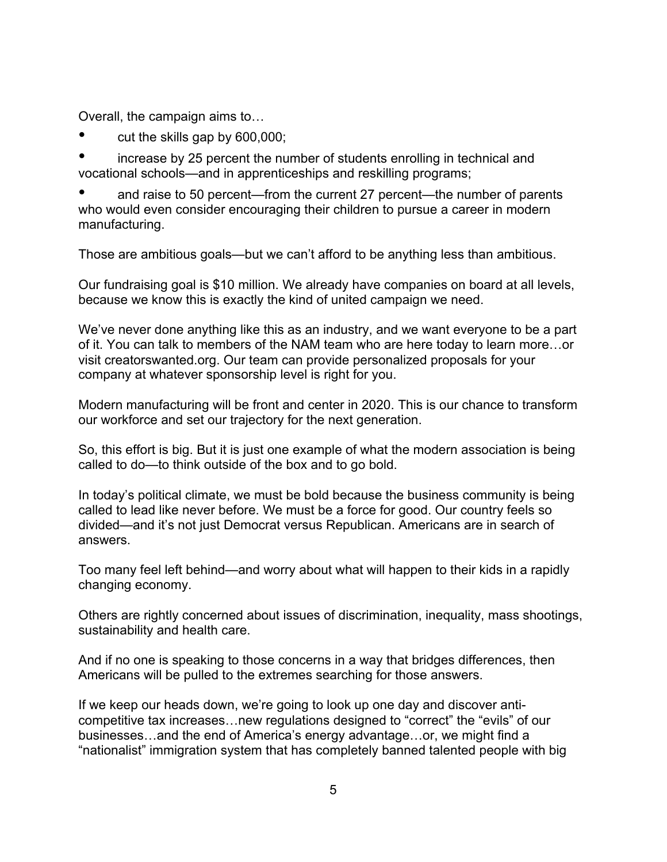Overall, the campaign aims to…

cut the skills gap by 600,000;

• increase by 25 percent the number of students enrolling in technical and vocational schools—and in apprenticeships and reskilling programs;

• and raise to 50 percent—from the current 27 percent—the number of parents who would even consider encouraging their children to pursue a career in modern manufacturing.

Those are ambitious goals—but we can't afford to be anything less than ambitious.

Our fundraising goal is \$10 million. We already have companies on board at all levels, because we know this is exactly the kind of united campaign we need.

We've never done anything like this as an industry, and we want everyone to be a part of it. You can talk to members of the NAM team who are here today to learn more…or visit creatorswanted.org. Our team can provide personalized proposals for your company at whatever sponsorship level is right for you.

Modern manufacturing will be front and center in 2020. This is our chance to transform our workforce and set our trajectory for the next generation.

So, this effort is big. But it is just one example of what the modern association is being called to do—to think outside of the box and to go bold.

In today's political climate, we must be bold because the business community is being called to lead like never before. We must be a force for good. Our country feels so divided—and it's not just Democrat versus Republican. Americans are in search of answers.

Too many feel left behind—and worry about what will happen to their kids in a rapidly changing economy.

Others are rightly concerned about issues of discrimination, inequality, mass shootings, sustainability and health care.

And if no one is speaking to those concerns in a way that bridges differences, then Americans will be pulled to the extremes searching for those answers.

If we keep our heads down, we're going to look up one day and discover anticompetitive tax increases…new regulations designed to "correct" the "evils" of our businesses…and the end of America's energy advantage…or, we might find a "nationalist" immigration system that has completely banned talented people with big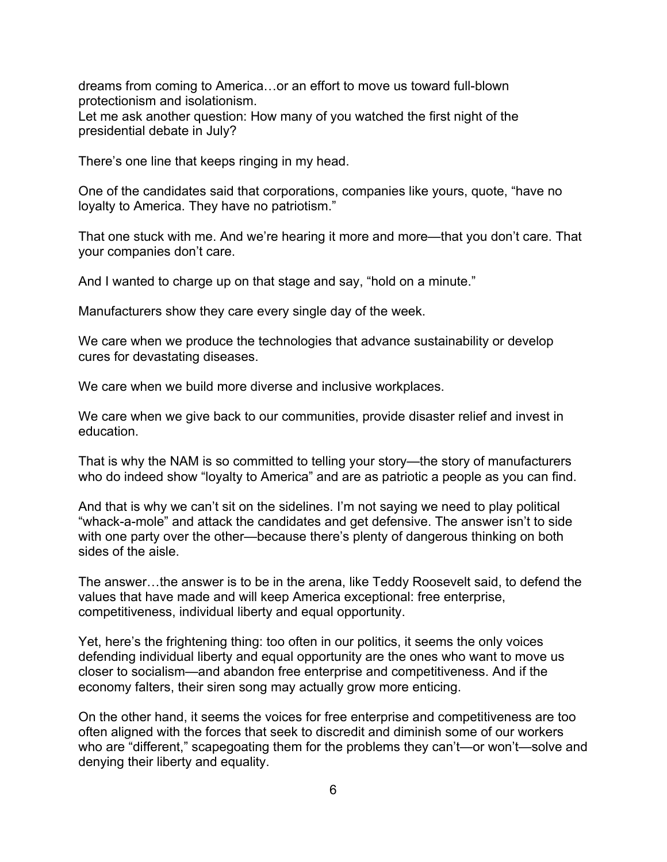dreams from coming to America…or an effort to move us toward full-blown protectionism and isolationism.

Let me ask another question: How many of you watched the first night of the presidential debate in July?

There's one line that keeps ringing in my head.

One of the candidates said that corporations, companies like yours, quote, "have no loyalty to America. They have no patriotism."

That one stuck with me. And we're hearing it more and more—that you don't care. That your companies don't care.

And I wanted to charge up on that stage and say, "hold on a minute."

Manufacturers show they care every single day of the week.

We care when we produce the technologies that advance sustainability or develop cures for devastating diseases.

We care when we build more diverse and inclusive workplaces.

We care when we give back to our communities, provide disaster relief and invest in education.

That is why the NAM is so committed to telling your story—the story of manufacturers who do indeed show "loyalty to America" and are as patriotic a people as you can find.

And that is why we can't sit on the sidelines. I'm not saying we need to play political "whack-a-mole" and attack the candidates and get defensive. The answer isn't to side with one party over the other—because there's plenty of dangerous thinking on both sides of the aisle.

The answer…the answer is to be in the arena, like Teddy Roosevelt said, to defend the values that have made and will keep America exceptional: free enterprise, competitiveness, individual liberty and equal opportunity.

Yet, here's the frightening thing: too often in our politics, it seems the only voices defending individual liberty and equal opportunity are the ones who want to move us closer to socialism—and abandon free enterprise and competitiveness. And if the economy falters, their siren song may actually grow more enticing.

On the other hand, it seems the voices for free enterprise and competitiveness are too often aligned with the forces that seek to discredit and diminish some of our workers who are "different," scapegoating them for the problems they can't—or won't—solve and denying their liberty and equality.